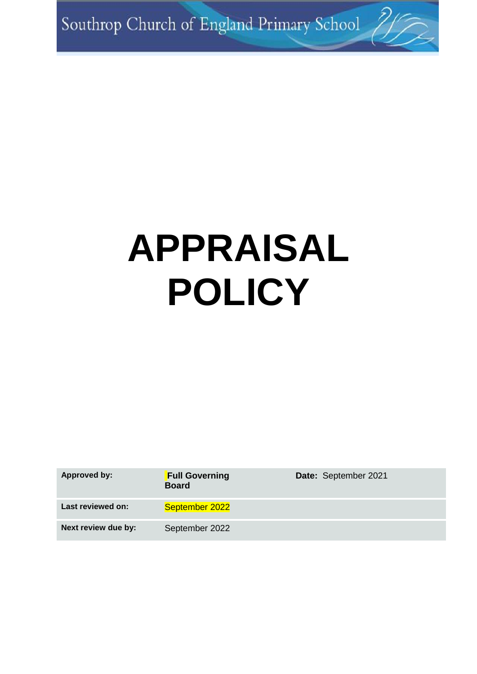Southrop Church of England Primary School 2

# **APPRAISAL POLICY**

| <b>Approved by:</b> | <b>Full Governing</b><br><b>Board</b> | Date: September 2021 |
|---------------------|---------------------------------------|----------------------|
| Last reviewed on:   | September 2022                        |                      |
| Next review due by: | September 2022                        |                      |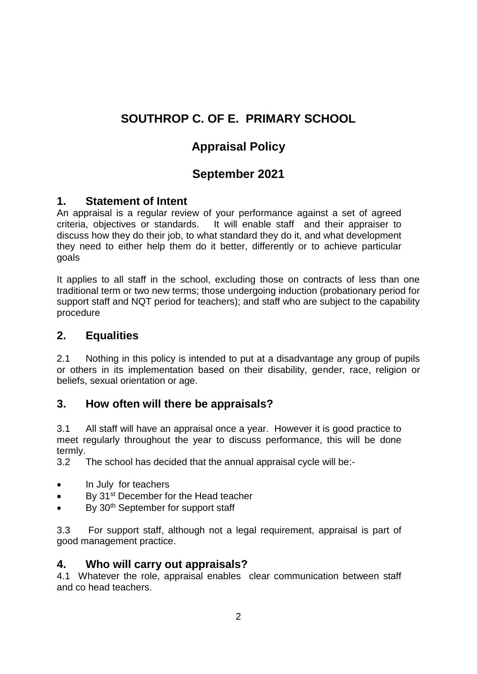# **SOUTHROP C. OF E. PRIMARY SCHOOL**

# **Appraisal Policy**

# **September 2021**

## **1. Statement of Intent**

An appraisal is a regular review of your performance against a set of agreed criteria, objectives or standards. It will enable staff and their appraiser to discuss how they do their job, to what standard they do it, and what development they need to either help them do it better, differently or to achieve particular goals

It applies to all staff in the school, excluding those on contracts of less than one traditional term or two new terms; those undergoing induction (probationary period for support staff and NQT period for teachers); and staff who are subject to the capability procedure

## **2. Equalities**

2.1 Nothing in this policy is intended to put at a disadvantage any group of pupils or others in its implementation based on their disability, gender, race, religion or beliefs, sexual orientation or age.

# **3. How often will there be appraisals?**

3.1 All staff will have an appraisal once a year. However it is good practice to meet regularly throughout the year to discuss performance, this will be done termly.

3.2 The school has decided that the annual appraisal cycle will be:-

- In July for teachers
- By 31<sup>st</sup> December for the Head teacher
- $\bullet$  By 30<sup>th</sup> September for support staff

3.3 For support staff, although not a legal requirement, appraisal is part of good management practice.

#### **4. Who will carry out appraisals?**

4.1 Whatever the role, appraisal enables clear communication between staff and co head teachers.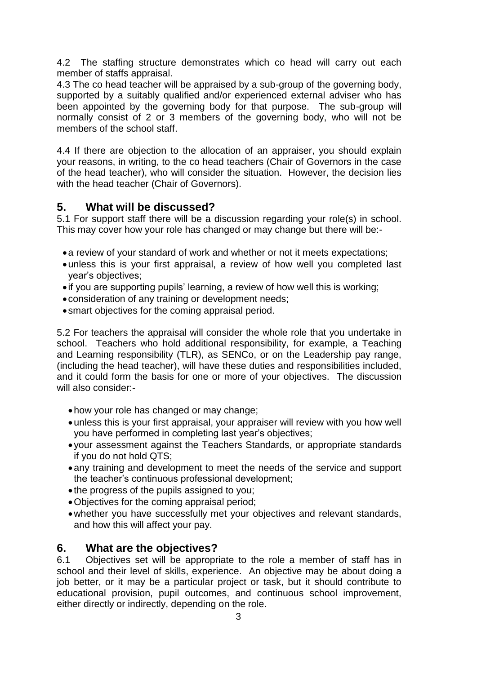4.2 The staffing structure demonstrates which co head will carry out each member of staffs appraisal.

4.3 The co head teacher will be appraised by a sub-group of the governing body, supported by a suitably qualified and/or experienced external adviser who has been appointed by the governing body for that purpose. The sub-group will normally consist of 2 or 3 members of the governing body, who will not be members of the school staff.

4.4 If there are objection to the allocation of an appraiser, you should explain your reasons, in writing, to the co head teachers (Chair of Governors in the case of the head teacher), who will consider the situation. However, the decision lies with the head teacher (Chair of Governors).

#### **5. What will be discussed?**

5.1 For support staff there will be a discussion regarding your role(s) in school. This may cover how your role has changed or may change but there will be:-

- a review of your standard of work and whether or not it meets expectations:
- unless this is your first appraisal, a review of how well you completed last year's objectives;
- if you are supporting pupils' learning, a review of how well this is working;
- consideration of any training or development needs;
- smart objectives for the coming appraisal period.

5.2 For teachers the appraisal will consider the whole role that you undertake in school. Teachers who hold additional responsibility, for example, a Teaching and Learning responsibility (TLR), as SENCo, or on the Leadership pay range, (including the head teacher), will have these duties and responsibilities included, and it could form the basis for one or more of your objectives. The discussion will also consider:-

- how your role has changed or may change:
- unless this is your first appraisal, your appraiser will review with you how well you have performed in completing last year's objectives;
- your assessment against the Teachers Standards, or appropriate standards if you do not hold QTS;
- any training and development to meet the needs of the service and support the teacher's continuous professional development;
- the progress of the pupils assigned to you;
- Objectives for the coming appraisal period;
- whether you have successfully met your objectives and relevant standards, and how this will affect your pay.

#### **6. What are the objectives?**

6.1 Objectives set will be appropriate to the role a member of staff has in school and their level of skills, experience. An objective may be about doing a job better, or it may be a particular project or task, but it should contribute to educational provision, pupil outcomes, and continuous school improvement, either directly or indirectly, depending on the role.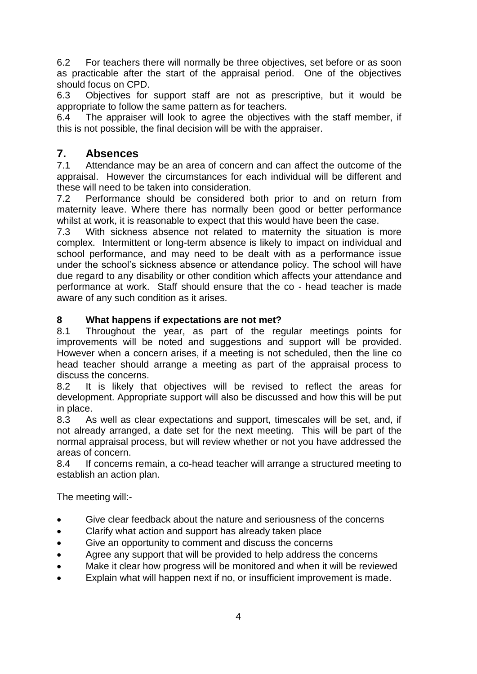6.2 For teachers there will normally be three objectives, set before or as soon as practicable after the start of the appraisal period. One of the objectives should focus on CPD.

6.3 Objectives for support staff are not as prescriptive, but it would be appropriate to follow the same pattern as for teachers.

6.4 The appraiser will look to agree the objectives with the staff member, if this is not possible, the final decision will be with the appraiser.

# **7. Absences**

7.1 Attendance may be an area of concern and can affect the outcome of the appraisal. However the circumstances for each individual will be different and these will need to be taken into consideration.

7.2 Performance should be considered both prior to and on return from maternity leave. Where there has normally been good or better performance whilst at work, it is reasonable to expect that this would have been the case.

7.3 With sickness absence not related to maternity the situation is more complex. Intermittent or long-term absence is likely to impact on individual and school performance, and may need to be dealt with as a performance issue under the school's sickness absence or attendance policy. The school will have due regard to any disability or other condition which affects your attendance and performance at work. Staff should ensure that the co - head teacher is made aware of any such condition as it arises.

#### **8 What happens if expectations are not met?**

8.1 Throughout the year, as part of the regular meetings points for improvements will be noted and suggestions and support will be provided. However when a concern arises, if a meeting is not scheduled, then the line co head teacher should arrange a meeting as part of the appraisal process to discuss the concerns.

8.2 It is likely that objectives will be revised to reflect the areas for development. Appropriate support will also be discussed and how this will be put in place.

8.3 As well as clear expectations and support, timescales will be set, and, if not already arranged, a date set for the next meeting. This will be part of the normal appraisal process, but will review whether or not you have addressed the areas of concern.

8.4 If concerns remain, a co-head teacher will arrange a structured meeting to establish an action plan.

The meeting will:-

- Give clear feedback about the nature and seriousness of the concerns
- Clarify what action and support has already taken place
- Give an opportunity to comment and discuss the concerns
- Agree any support that will be provided to help address the concerns
- Make it clear how progress will be monitored and when it will be reviewed
- Explain what will happen next if no, or insufficient improvement is made.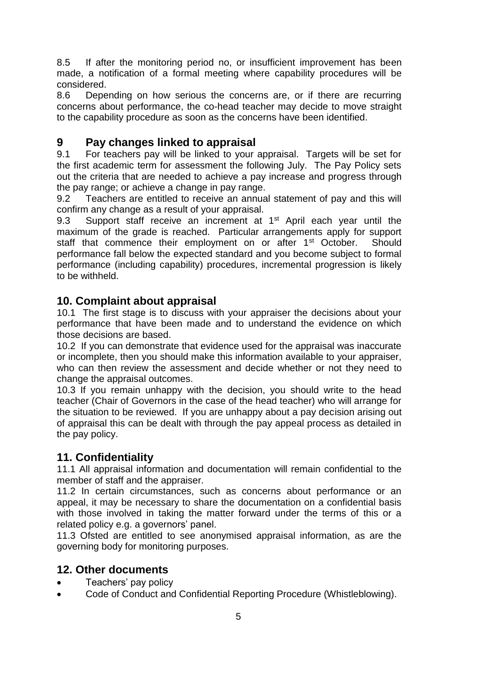8.5 If after the monitoring period no, or insufficient improvement has been made, a notification of a formal meeting where capability procedures will be considered.

8.6 Depending on how serious the concerns are, or if there are recurring concerns about performance, the co-head teacher may decide to move straight to the capability procedure as soon as the concerns have been identified.

#### **9 Pay changes linked to appraisal**

9.1 For teachers pay will be linked to your appraisal. Targets will be set for the first academic term for assessment the following July. The Pay Policy sets out the criteria that are needed to achieve a pay increase and progress through the pay range; or achieve a change in pay range.

9.2 Teachers are entitled to receive an annual statement of pay and this will confirm any change as a result of your appraisal.

9.3 Support staff receive an increment at 1<sup>st</sup> April each year until the maximum of the grade is reached. Particular arrangements apply for support staff that commence their employment on or after 1<sup>st</sup> October. Should performance fall below the expected standard and you become subject to formal performance (including capability) procedures, incremental progression is likely to be withheld.

#### **10. Complaint about appraisal**

10.1 The first stage is to discuss with your appraiser the decisions about your performance that have been made and to understand the evidence on which those decisions are based.

10.2 If you can demonstrate that evidence used for the appraisal was inaccurate or incomplete, then you should make this information available to your appraiser, who can then review the assessment and decide whether or not they need to change the appraisal outcomes.

10.3 If you remain unhappy with the decision, you should write to the head teacher (Chair of Governors in the case of the head teacher) who will arrange for the situation to be reviewed. If you are unhappy about a pay decision arising out of appraisal this can be dealt with through the pay appeal process as detailed in the pay policy.

## **11. Confidentiality**

11.1 All appraisal information and documentation will remain confidential to the member of staff and the appraiser.

11.2 In certain circumstances, such as concerns about performance or an appeal, it may be necessary to share the documentation on a confidential basis with those involved in taking the matter forward under the terms of this or a related policy e.g. a governors' panel.

11.3 Ofsted are entitled to see anonymised appraisal information, as are the governing body for monitoring purposes.

## **12. Other documents**

- Teachers' pay policy
- Code of Conduct and Confidential Reporting Procedure (Whistleblowing).